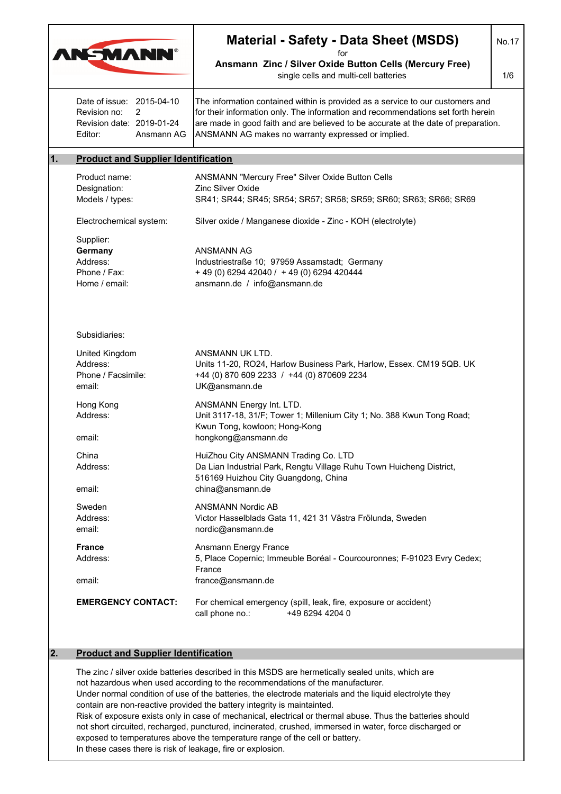|                                                                                                      | <b>Material - Safety - Data Sheet (MSDS)</b>                                                                                                                                                                                                                                                                   | No.17 |
|------------------------------------------------------------------------------------------------------|----------------------------------------------------------------------------------------------------------------------------------------------------------------------------------------------------------------------------------------------------------------------------------------------------------------|-------|
| <b>ANSMANN®</b>                                                                                      | for<br>Ansmann Zinc / Silver Oxide Button Cells (Mercury Free)<br>single cells and multi-cell batteries                                                                                                                                                                                                        |       |
| Date of issue: 2015-04-10<br>Revision no:<br>2<br>Revision date: 2019-01-24<br>Editor:<br>Ansmann AG | The information contained within is provided as a service to our customers and<br>for their information only. The information and recommendations set forth herein<br>are made in good faith and are believed to be accurate at the date of preparation.<br>ANSMANN AG makes no warranty expressed or implied. |       |
| <b>Product and Supplier Identification</b>                                                           |                                                                                                                                                                                                                                                                                                                |       |
| Product name:<br>Designation:<br>Models / types:                                                     | ANSMANN "Mercury Free" Silver Oxide Button Cells<br><b>Zinc Silver Oxide</b><br>SR41; SR44; SR45; SR54; SR57; SR58; SR59; SR60; SR63; SR66; SR69                                                                                                                                                               |       |
| Electrochemical system:                                                                              | Silver oxide / Manganese dioxide - Zinc - KOH (electrolyte)                                                                                                                                                                                                                                                    |       |
| Supplier:<br>Germany<br>Address:<br>Phone / Fax:<br>Home / email:                                    | ANSMANN AG<br>Industriestraße 10; 97959 Assamstadt; Germany<br>+ 49 (0) 6294 42040 / + 49 (0) 6294 420444<br>ansmann.de / info@ansmann.de                                                                                                                                                                      |       |
| Subsidiaries:                                                                                        |                                                                                                                                                                                                                                                                                                                |       |
| United Kingdom<br>Address:<br>Phone / Facsimile:<br>email:                                           | ANSMANN UK LTD.<br>Units 11-20, RO24, Harlow Business Park, Harlow, Essex. CM19 5QB. UK<br>+44 (0) 870 609 2233 / +44 (0) 870609 2234<br>UK@ansmann.de                                                                                                                                                         |       |
| Hong Kong<br>Address:<br>email:                                                                      | ANSMANN Energy Int. LTD.<br>Unit 3117-18, 31/F; Tower 1; Millenium City 1; No. 388 Kwun Tong Road;<br>Kwun Tong, kowloon; Hong-Kong<br>hongkong@ansmann.de                                                                                                                                                     |       |
| China<br>Address:                                                                                    | HuiZhou City ANSMANN Trading Co. LTD<br>Da Lian Industrial Park, Rengtu Village Ruhu Town Huicheng District,                                                                                                                                                                                                   |       |
| email:                                                                                               | 516169 Huizhou City Guangdong, China<br>china@ansmann.de                                                                                                                                                                                                                                                       |       |
| Sweden<br>Address:<br>email:                                                                         | <b>ANSMANN Nordic AB</b><br>Victor Hasselblads Gata 11, 421 31 Västra Frölunda, Sweden<br>nordic@ansmann.de                                                                                                                                                                                                    |       |
| <b>France</b><br>Address:                                                                            | Ansmann Energy France<br>5, Place Copernic; Immeuble Boréal - Courcouronnes; F-91023 Evry Cedex;<br>France                                                                                                                                                                                                     |       |
| email:                                                                                               | france@ansmann.de                                                                                                                                                                                                                                                                                              |       |
| <b>EMERGENCY CONTACT:</b>                                                                            | For chemical emergency (spill, leak, fire, exposure or accident)<br>+49 6294 4204 0<br>call phone no.:                                                                                                                                                                                                         |       |
| <b>Product and Supplier Identification</b>                                                           |                                                                                                                                                                                                                                                                                                                |       |
|                                                                                                      | The zinc / silver oxide batteries described in this MSDS are hermetically sealed units, which are                                                                                                                                                                                                              |       |

contain are non-reactive provided the battery integrity is maintainted.

Risk of exposure exists only in case of mechanical, electrical or thermal abuse. Thus the batteries should not short circuited, recharged, punctured, incinerated, crushed, immersed in water, force discharged or exposed to temperatures above the temperature range of the cell or battery.

In these cases there is risk of leakage, fire or explosion.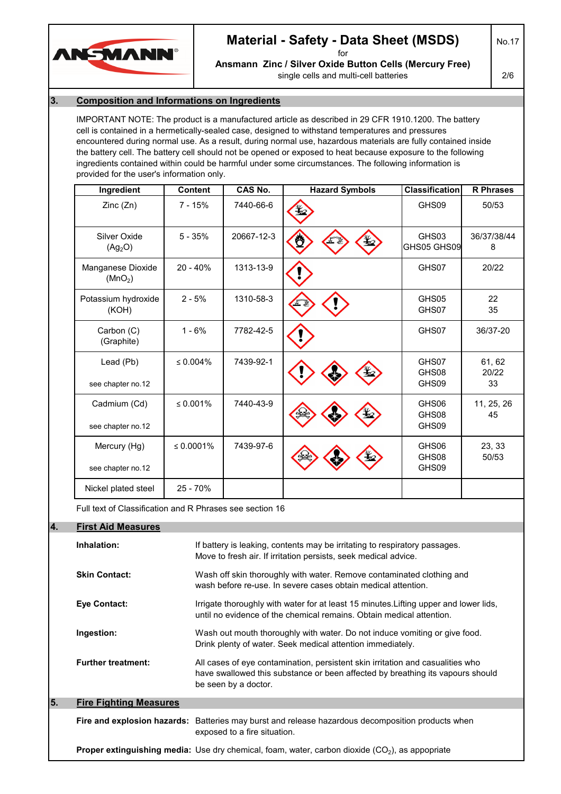

## **Material - Safety - Data Sheet (MSDS)**

for **Ansmann Zinc / Silver Oxide Button Cells (Mercury Free)** single cells and multi-cell batteries

No.17

2/6

#### **3. Composition and Informations on Ingredients**

IMPORTANT NOTE: The product is a manufactured article as described in 29 CFR 1910.1200. The battery cell is contained in a hermetically-sealed case, designed to withstand temperatures and pressures encountered during normal use. As a result, during normal use, hazardous materials are fully contained inside the battery cell. The battery cell should not be opened or exposed to heat because exposure to the following ingredients contained within could be harmful under some circumstances. The following information is provided for the user's information only.

| Ingredient                                               | <b>Content</b> | <b>CAS No.</b> | <b>Hazard Symbols</b> | <b>Classification</b>   | <b>R</b> Phrases      |
|----------------------------------------------------------|----------------|----------------|-----------------------|-------------------------|-----------------------|
| Zinc(Zn)                                                 | $7 - 15%$      | 7440-66-6      |                       | GHS09                   | 50/53                 |
| Silver Oxide<br>(Ag <sub>2</sub> O)                      | $5 - 35%$      | 20667-12-3     | Ő                     | GHS03<br>GHS05 GHS09    | 36/37/38/44<br>8      |
| Manganese Dioxide<br>(MnO <sub>2</sub> )                 | $20 - 40%$     | 1313-13-9      |                       | GHS07                   | 20/22                 |
| Potassium hydroxide<br>(KOH)                             | $2 - 5%$       | 1310-58-3      |                       | GHS05<br>GHS07          | 22<br>35              |
| Carbon (C)<br>(Graphite)                                 | $1 - 6%$       | 7782-42-5      |                       | GHS07                   | 36/37-20              |
| Lead (Pb)<br>see chapter no.12                           | $\leq 0.004\%$ | 7439-92-1      |                       | GHS07<br>GHS08<br>GHS09 | 61, 62<br>20/22<br>33 |
| Cadmium (Cd)<br>see chapter no.12                        | ≤ $0.001%$     | 7440-43-9      |                       | GHS06<br>GHS08<br>GHS09 | 11, 25, 26<br>45      |
| Mercury (Hg)<br>see chapter no.12                        | ≤ $0.0001%$    | 7439-97-6      |                       | GHS06<br>GHS08<br>GHS09 | 23, 33<br>50/53       |
| Nickel plated steel                                      | 25 - 70%       |                |                       |                         |                       |
| Full text of Classification and R Phrases see section 16 |                |                |                       |                         |                       |

#### **4. First Aid Measures**

|    | Inhalation:                   | If battery is leaking, contents may be irritating to respiratory passages.<br>Move to fresh air. If irritation persists, seek medical advice.                                            |
|----|-------------------------------|------------------------------------------------------------------------------------------------------------------------------------------------------------------------------------------|
|    | <b>Skin Contact:</b>          | Wash off skin thoroughly with water. Remove contaminated clothing and<br>wash before re-use. In severe cases obtain medical attention.                                                   |
|    | Eye Contact:                  | Irrigate thoroughly with water for at least 15 minutes. Lifting upper and lower lids,<br>until no evidence of the chemical remains. Obtain medical attention.                            |
|    | Ingestion:                    | Wash out mouth thoroughly with water. Do not induce vomiting or give food.<br>Drink plenty of water. Seek medical attention immediately.                                                 |
|    | <b>Further treatment:</b>     | All cases of eye contamination, persistent skin irritation and casualities who<br>have swallowed this substance or been affected by breathing its vapours should<br>be seen by a doctor. |
| 5. | <b>Fire Fighting Measures</b> |                                                                                                                                                                                          |
|    |                               | <b>Fire and explosion hazards:</b> Batteries may burst and release hazardous decomposition products when<br>exposed to a fire situation.                                                 |
|    |                               | <b>Proper extinguishing media:</b> Use dry chemical, foam, water, carbon dioxide $(CO2)$ , as appopriate                                                                                 |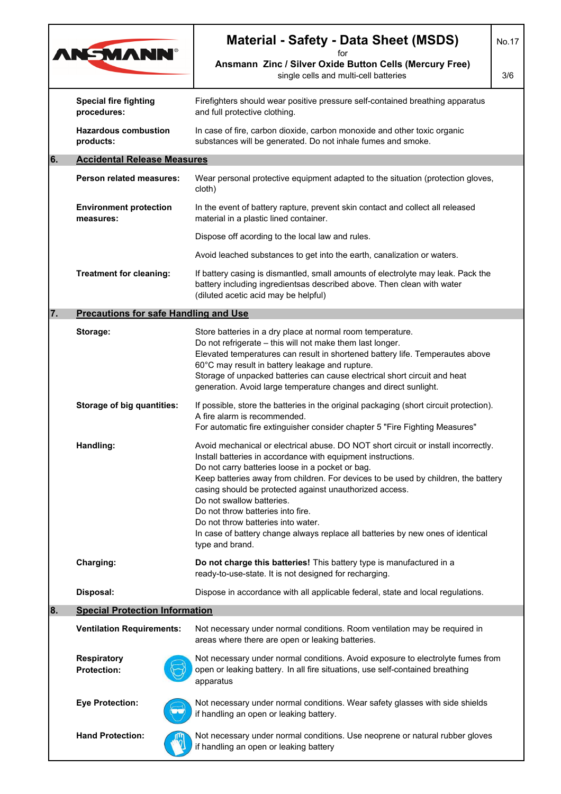| <b>AN-MANN®</b>                                                               |                                              | <b>Material - Safety - Data Sheet (MSDS)</b>                                                                                                                                                                                                                                                                                                                                                                                                                                                                                                                          |     |  |  |  |
|-------------------------------------------------------------------------------|----------------------------------------------|-----------------------------------------------------------------------------------------------------------------------------------------------------------------------------------------------------------------------------------------------------------------------------------------------------------------------------------------------------------------------------------------------------------------------------------------------------------------------------------------------------------------------------------------------------------------------|-----|--|--|--|
|                                                                               |                                              | for<br>Ansmann Zinc / Silver Oxide Button Cells (Mercury Free)<br>single cells and multi-cell batteries                                                                                                                                                                                                                                                                                                                                                                                                                                                               | 3/6 |  |  |  |
|                                                                               | <b>Special fire fighting</b><br>procedures:  | Firefighters should wear positive pressure self-contained breathing apparatus<br>and full protective clothing.                                                                                                                                                                                                                                                                                                                                                                                                                                                        |     |  |  |  |
|                                                                               | <b>Hazardous combustion</b><br>products:     | In case of fire, carbon dioxide, carbon monoxide and other toxic organic<br>substances will be generated. Do not inhale fumes and smoke.                                                                                                                                                                                                                                                                                                                                                                                                                              |     |  |  |  |
| 6.                                                                            | <b>Accidental Release Measures</b>           |                                                                                                                                                                                                                                                                                                                                                                                                                                                                                                                                                                       |     |  |  |  |
| <b>Person related measures:</b><br><b>Environment protection</b><br>measures: |                                              | Wear personal protective equipment adapted to the situation (protection gloves,<br>cloth)                                                                                                                                                                                                                                                                                                                                                                                                                                                                             |     |  |  |  |
|                                                                               |                                              | In the event of battery rapture, prevent skin contact and collect all released<br>material in a plastic lined container.                                                                                                                                                                                                                                                                                                                                                                                                                                              |     |  |  |  |
|                                                                               |                                              | Dispose off acording to the local law and rules.                                                                                                                                                                                                                                                                                                                                                                                                                                                                                                                      |     |  |  |  |
|                                                                               |                                              | Avoid leached substances to get into the earth, canalization or waters.                                                                                                                                                                                                                                                                                                                                                                                                                                                                                               |     |  |  |  |
| <b>Treatment for cleaning:</b>                                                |                                              | If battery casing is dismantled, small amounts of electrolyte may leak. Pack the<br>battery including ingredientsas described above. Then clean with water<br>(diluted acetic acid may be helpful)                                                                                                                                                                                                                                                                                                                                                                    |     |  |  |  |
| 7.                                                                            | <b>Precautions for safe Handling and Use</b> |                                                                                                                                                                                                                                                                                                                                                                                                                                                                                                                                                                       |     |  |  |  |
|                                                                               | Storage:                                     | Store batteries in a dry place at normal room temperature.<br>Do not refrigerate - this will not make them last longer.<br>Elevated temperatures can result in shortened battery life. Temperautes above<br>60°C may result in battery leakage and rupture.<br>Storage of unpacked batteries can cause electrical short circuit and heat<br>generation. Avoid large temperature changes and direct sunlight.                                                                                                                                                          |     |  |  |  |
|                                                                               | <b>Storage of big quantities:</b>            | If possible, store the batteries in the original packaging (short circuit protection).<br>A fire alarm is recommended.<br>For automatic fire extinguisher consider chapter 5 "Fire Fighting Measures"                                                                                                                                                                                                                                                                                                                                                                 |     |  |  |  |
| Handling:                                                                     |                                              | Avoid mechanical or electrical abuse. DO NOT short circuit or install incorrectly.<br>Install batteries in accordance with equipment instructions.<br>Do not carry batteries loose in a pocket or bag.<br>Keep batteries away from children. For devices to be used by children, the battery<br>casing should be protected against unauthorized access.<br>Do not swallow batteries.<br>Do not throw batteries into fire.<br>Do not throw batteries into water.<br>In case of battery change always replace all batteries by new ones of identical<br>type and brand. |     |  |  |  |
|                                                                               | Charging:                                    | Do not charge this batteries! This battery type is manufactured in a<br>ready-to-use-state. It is not designed for recharging.                                                                                                                                                                                                                                                                                                                                                                                                                                        |     |  |  |  |
|                                                                               | Disposal:                                    | Dispose in accordance with all applicable federal, state and local regulations.                                                                                                                                                                                                                                                                                                                                                                                                                                                                                       |     |  |  |  |
| 8.                                                                            | <b>Special Protection Information</b>        |                                                                                                                                                                                                                                                                                                                                                                                                                                                                                                                                                                       |     |  |  |  |
|                                                                               | <b>Ventilation Requirements:</b>             | Not necessary under normal conditions. Room ventilation may be required in<br>areas where there are open or leaking batteries.                                                                                                                                                                                                                                                                                                                                                                                                                                        |     |  |  |  |
|                                                                               | <b>Respiratory</b><br><b>Protection:</b>     | Not necessary under normal conditions. Avoid exposure to electrolyte fumes from<br>open or leaking battery. In all fire situations, use self-contained breathing<br>apparatus                                                                                                                                                                                                                                                                                                                                                                                         |     |  |  |  |
|                                                                               | <b>Eye Protection:</b>                       | Not necessary under normal conditions. Wear safety glasses with side shields<br>if handling an open or leaking battery.                                                                                                                                                                                                                                                                                                                                                                                                                                               |     |  |  |  |
|                                                                               | <b>Hand Protection:</b>                      | Not necessary under normal conditions. Use neoprene or natural rubber gloves<br>if handling an open or leaking battery                                                                                                                                                                                                                                                                                                                                                                                                                                                |     |  |  |  |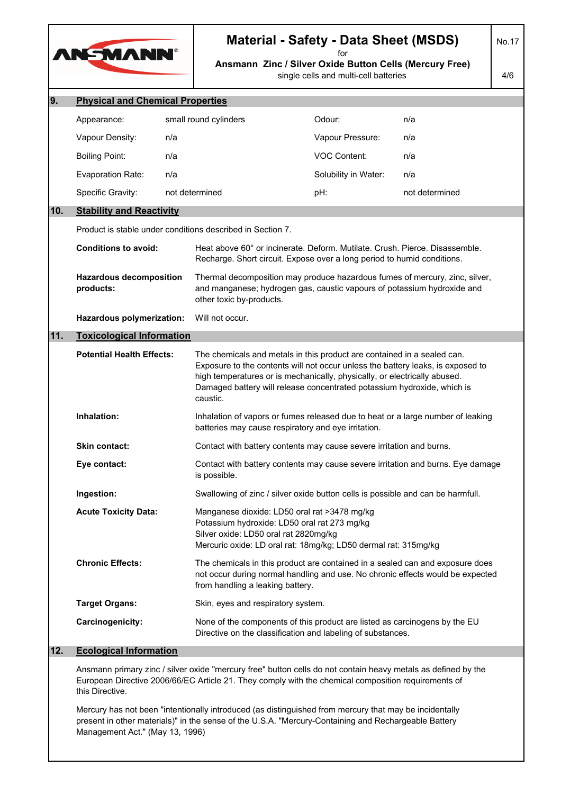

# **Material - Safety - Data Sheet (MSDS)**

No.17

**Ansmann Zinc / Silver Oxide Button Cells (Mercury Free)** single cells and multi-cell batteries for

4/6

| 9.  | <b>Physical and Chemical Properties</b>                                                                                                                                                                                                 |     |                                                                                                                                                                                                                                                                                                                                |                      |                |  |  |
|-----|-----------------------------------------------------------------------------------------------------------------------------------------------------------------------------------------------------------------------------------------|-----|--------------------------------------------------------------------------------------------------------------------------------------------------------------------------------------------------------------------------------------------------------------------------------------------------------------------------------|----------------------|----------------|--|--|
|     | Appearance:                                                                                                                                                                                                                             |     | small round cylinders                                                                                                                                                                                                                                                                                                          | Odour:               | n/a            |  |  |
|     | Vapour Density:                                                                                                                                                                                                                         | n/a |                                                                                                                                                                                                                                                                                                                                | Vapour Pressure:     | n/a            |  |  |
|     | <b>Boiling Point:</b>                                                                                                                                                                                                                   | n/a |                                                                                                                                                                                                                                                                                                                                | <b>VOC Content:</b>  | n/a            |  |  |
|     | Evaporation Rate:                                                                                                                                                                                                                       | n/a |                                                                                                                                                                                                                                                                                                                                | Solubility in Water: | n/a            |  |  |
|     | Specific Gravity:                                                                                                                                                                                                                       |     | not determined                                                                                                                                                                                                                                                                                                                 | pH:                  | not determined |  |  |
| 10. | <b>Stability and Reactivity</b>                                                                                                                                                                                                         |     |                                                                                                                                                                                                                                                                                                                                |                      |                |  |  |
|     |                                                                                                                                                                                                                                         |     | Product is stable under conditions described in Section 7.                                                                                                                                                                                                                                                                     |                      |                |  |  |
|     | <b>Conditions to avoid:</b>                                                                                                                                                                                                             |     | Heat above 60° or incinerate. Deform. Mutilate. Crush. Pierce. Disassemble.<br>Recharge. Short circuit. Expose over a long period to humid conditions.                                                                                                                                                                         |                      |                |  |  |
|     | <b>Hazardous decomposition</b><br>products:                                                                                                                                                                                             |     | Thermal decomposition may produce hazardous fumes of mercury, zinc, silver,<br>and manganese; hydrogen gas, caustic vapours of potassium hydroxide and<br>other toxic by-products.                                                                                                                                             |                      |                |  |  |
|     | Hazardous polymerization:                                                                                                                                                                                                               |     | Will not occur.                                                                                                                                                                                                                                                                                                                |                      |                |  |  |
| 11. | <b>Toxicological Information</b>                                                                                                                                                                                                        |     |                                                                                                                                                                                                                                                                                                                                |                      |                |  |  |
|     | <b>Potential Health Effects:</b><br>Inhalation:<br><b>Skin contact:</b><br>Eye contact:<br>Ingestion:<br><b>Acute Toxicity Data:</b>                                                                                                    |     | The chemicals and metals in this product are contained in a sealed can.<br>Exposure to the contents will not occur unless the battery leaks, is exposed to<br>high temperatures or is mechanically, physically, or electrically abused.<br>Damaged battery will release concentrated potassium hydroxide, which is<br>caustic. |                      |                |  |  |
|     |                                                                                                                                                                                                                                         |     | Inhalation of vapors or fumes released due to heat or a large number of leaking<br>batteries may cause respiratory and eye irritation.                                                                                                                                                                                         |                      |                |  |  |
|     |                                                                                                                                                                                                                                         |     | Contact with battery contents may cause severe irritation and burns.                                                                                                                                                                                                                                                           |                      |                |  |  |
|     |                                                                                                                                                                                                                                         |     | Contact with battery contents may cause severe irritation and burns. Eye damage<br>is possible.                                                                                                                                                                                                                                |                      |                |  |  |
|     |                                                                                                                                                                                                                                         |     | Swallowing of zinc / silver oxide button cells is possible and can be harmfull.                                                                                                                                                                                                                                                |                      |                |  |  |
|     |                                                                                                                                                                                                                                         |     | Manganese dioxide: LD50 oral rat >3478 mg/kg<br>Potassium hydroxide: LD50 oral rat 273 mg/kg<br>Silver oxide: LD50 oral rat 2820mg/kg<br>Mercuric oxide: LD oral rat: 18mg/kg; LD50 dermal rat: 315mg/kg                                                                                                                       |                      |                |  |  |
|     | <b>Chronic Effects:</b>                                                                                                                                                                                                                 |     | The chemicals in this product are contained in a sealed can and exposure does<br>not occur during normal handling and use. No chronic effects would be expected<br>from handling a leaking battery.                                                                                                                            |                      |                |  |  |
|     | <b>Target Organs:</b>                                                                                                                                                                                                                   |     | Skin, eyes and respiratory system.                                                                                                                                                                                                                                                                                             |                      |                |  |  |
|     | Carcinogenicity:                                                                                                                                                                                                                        |     | None of the components of this product are listed as carcinogens by the EU<br>Directive on the classification and labeling of substances.                                                                                                                                                                                      |                      |                |  |  |
| 12. | <b>Ecological Information</b>                                                                                                                                                                                                           |     |                                                                                                                                                                                                                                                                                                                                |                      |                |  |  |
|     | Ansmann primary zinc / silver oxide "mercury free" button cells do not contain heavy metals as defined by the<br>European Directive 2006/66/EC Article 21. They comply with the chemical composition requirements of<br>this Directive. |     |                                                                                                                                                                                                                                                                                                                                |                      |                |  |  |

Mercury has not been "intentionally introduced (as distinguished from mercury that may be incidentally present in other materials)" in the sense of the U.S.A. "Mercury-Containing and Rechargeable Battery Management Act." (May 13, 1996)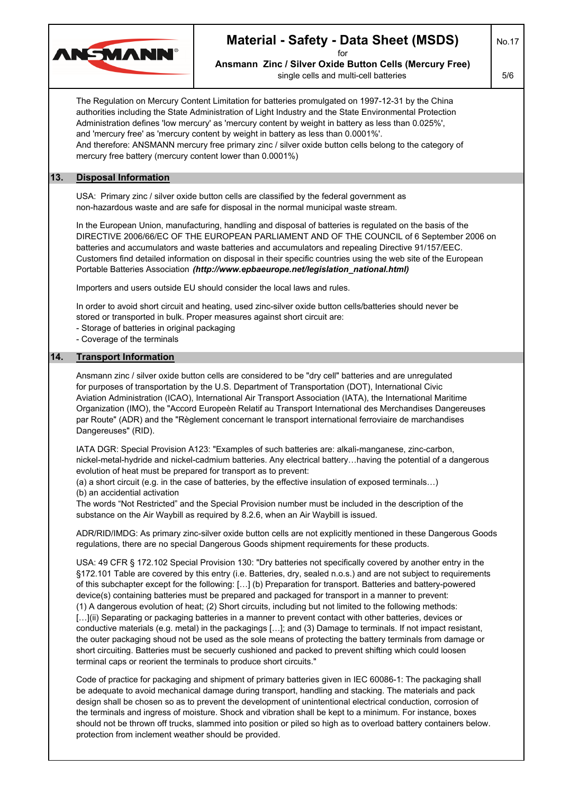

### **Material - Safety - Data Sheet (MSDS)**

for **Ansmann Zinc / Silver Oxide Button Cells (Mercury Free)**

single cells and multi-cell batteries

5/6

No.17

The Regulation on Mercury Content Limitation for batteries promulgated on 1997-12-31 by the China authorities including the State Administration of Light Industry and the State Environmental Protection Administration defines 'low mercury' as 'mercury content by weight in battery as less than 0.025%', and 'mercury free' as 'mercury content by weight in battery as less than 0.0001%'. And therefore: ANSMANN mercury free primary zinc / silver oxide button cells belong to the category of mercury free battery (mercury content lower than 0.0001%) **13. Disposal Information** USA: Primary zinc / silver oxide button cells are classified by the federal government as non-hazardous waste and are safe for disposal in the normal municipal waste stream. In the European Union, manufacturing, handling and disposal of batteries is regulated on the basis of the DIRECTIVE 2006/66/EC OF THE EUROPEAN PARLIAMENT AND OF THE COUNCIL of 6 September 2006 on batteries and accumulators and waste batteries and accumulators and repealing Directive 91/157/EEC. Customers find detailed information on disposal in their specific countries using the web site of the European Portable Batteries Association *(http://www.epbaeurope.net/legislation\_national.html)* Importers and users outside EU should consider the local laws and rules. In order to avoid short circuit and heating, used zinc-silver oxide button cells/batteries should never be stored or transported in bulk. Proper measures against short circuit are: - Storage of batteries in original packaging - Coverage of the terminals **14. Transport Information** Ansmann zinc / silver oxide button cells are considered to be "dry cell" batteries and are unregulated for purposes of transportation by the U.S. Department of Transportation (DOT), International Civic Aviation Administration (ICAO), International Air Transport Association (IATA), the International Maritime Organization (IMO), the "Accord Europeèn Relatif au Transport International des Merchandises Dangereuses par Route" (ADR) and the "Règlement concernant le transport international ferroviaire de marchandises Dangereuses" (RID). IATA DGR: Special Provision A123: "Examples of such batteries are: alkali-manganese, zinc-carbon, nickel-metal-hydride and nickel-cadmium batteries. Any electrical battery…having the potential of a dangerous evolution of heat must be prepared for transport as to prevent: (a) a short circuit (e.g. in the case of batteries, by the effective insulation of exposed terminals…) (b) an accidential activation The words "Not Restricted" and the Special Provision number must be included in the description of the substance on the Air Waybill as required by 8.2.6, when an Air Waybill is issued. ADR/RID/IMDG: As primary zinc-silver oxide button cells are not explicitly mentioned in these Dangerous Goods regulations, there are no special Dangerous Goods shipment requirements for these products. USA: 49 CFR § 172.102 Special Provision 130: "Dry batteries not specifically covered by another entry in the §172.101 Table are covered by this entry (i.e. Batteries, dry, sealed n.o.s.) and are not subject to requirements of this subchapter except for the following: […] (b) Preparation for transport. Batteries and battery-powered device(s) containing batteries must be prepared and packaged for transport in a manner to prevent: (1) A dangerous evolution of heat; (2) Short circuits, including but not limited to the following methods: [...](ii) Separating or packaging batteries in a manner to prevent contact with other batteries, devices or conductive materials (e.g. metal) in the packagings […]; and (3) Damage to terminals. If not impact resistant, the outer packaging shoud not be used as the sole means of protecting the battery terminals from damage or short circuiting. Batteries must be secuerly cushioned and packed to prevent shifting which could loosen terminal caps or reorient the terminals to produce short circuits." Code of practice for packaging and shipment of primary batteries given in IEC 60086-1: The packaging shall be adequate to avoid mechanical damage during transport, handling and stacking. The materials and pack design shall be chosen so as to prevent the development of unintentional electrical conduction, corrosion of

the terminals and ingress of moisture. Shock and vibration shall be kept to a minimum. For instance, boxes should not be thrown off trucks, slammed into position or piled so high as to overload battery containers below. protection from inclement weather should be provided.